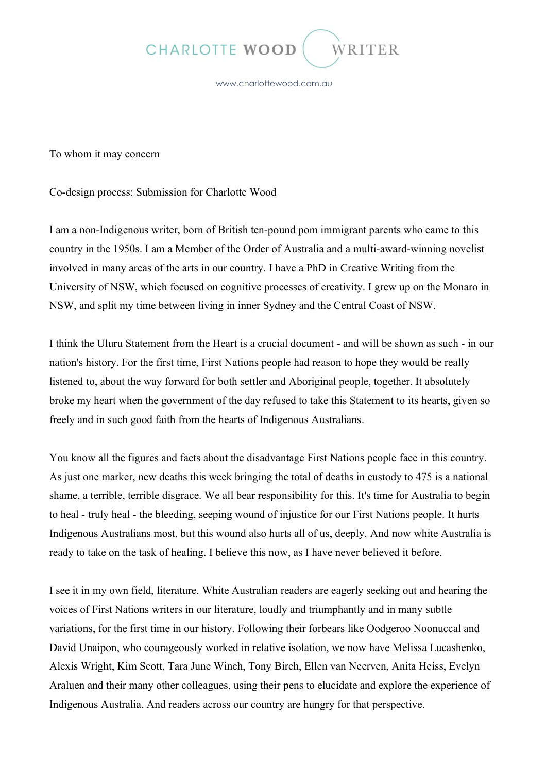

www.charlottewood.com.au

To whom it may concern

## Co-design process: Submission for Charlotte Wood

I am a non-Indigenous writer, born of British ten-pound pom immigrant parents who came to this country in the 1950s. I am a Member of the Order of Australia and a multi-award-winning novelist involved in many areas of the arts in our country. I have a PhD in Creative Writing from the University of NSW, which focused on cognitive processes of creativity. I grew up on the Monaro in NSW, and split my time between living in inner Sydney and the Central Coast of NSW.

I think the Uluru Statement from the Heart is a crucial document - and will be shown as such - in our nation's history. For the first time, First Nations people had reason to hope they would be really listened to, about the way forward for both settler and Aboriginal people, together. It absolutely broke my heart when the government of the day refused to take this Statement to its hearts, given so freely and in such good faith from the hearts of Indigenous Australians.

You know all the figures and facts about the disadvantage First Nations people face in this country. As just one marker, new deaths this week bringing the total of deaths in custody to 475 is a national shame, a terrible, terrible disgrace. We all bear responsibility for this. It's time for Australia to begin to heal - truly heal - the bleeding, seeping wound of injustice for our First Nations people. It hurts Indigenous Australians most, but this wound also hurts all of us, deeply. And now white Australia is ready to take on the task of healing. I believe this now, as I have never believed it before.

I see it in my own field, literature. White Australian readers are eagerly seeking out and hearing the voices of First Nations writers in our literature, loudly and triumphantly and in many subtle variations, for the first time in our history. Following their forbears like Oodgeroo Noonuccal and David Unaipon, who courageously worked in relative isolation, we now have Melissa Lucashenko, Alexis Wright, Kim Scott, Tara June Winch, Tony Birch, Ellen van Neerven, Anita Heiss, Evelyn Araluen and their many other colleagues, using their pens to elucidate and explore the experience of Indigenous Australia. And readers across our country are hungry for that perspective.